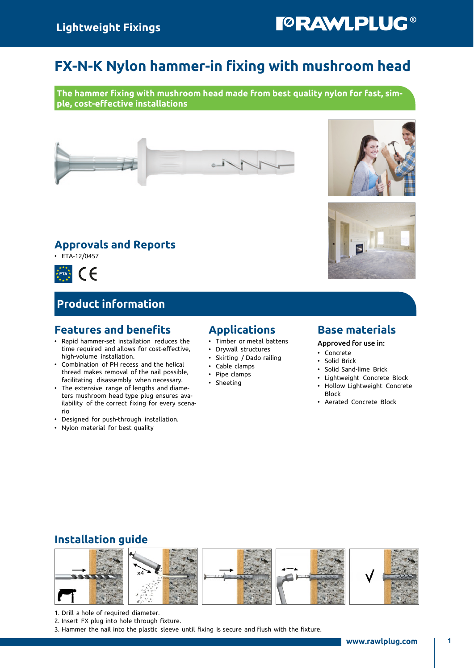# FX-N-K Nylon hammer-in fixing with mushroom head

The hammer fixing with mushroom head made from best quality nylon for fast, simple, cost-effective installations

### Approvals and Reports

 $\cdot$  ETA-12/0457

 $C \in$  $*$  ETA $*$  $\begin{array}{c} \hline \end{array}$ 

### Product information

### Features and benefits

- Rapid hammer-set installation reduces the time required and allows for cost-effective, high-volume installation.
- Combination of PH recess and the helical thread makes removal of the nail possible, facilitating disassembly when necessary.
- The extensive range of lengths and diameters mushroom head type plug ensures availability of the correct fixing for every scenario
- Designed for push-through installation.
- Nylon material for best quality

### Applications

- Timber or metal battens
- Drywall structures
- Skirting / Dado railing
- Cable clamps
- Pipe clamps
- **Sheeting**

### Base materials

#### Approved for use in:

- Concrete
- Solid Brick
- Solid Sand-lime Brick
- Lightweight Concrete Block
- Hollow Lightweight Concrete Block
- Aerated Concrete Block

### Installation guide



- 1. Drill a hole of required diameter.
- 2. Insert FX plug into hole through fixture.
- 3. Hammer the nail into the plastic sleeve until fixing is secure and flush with the fixture.





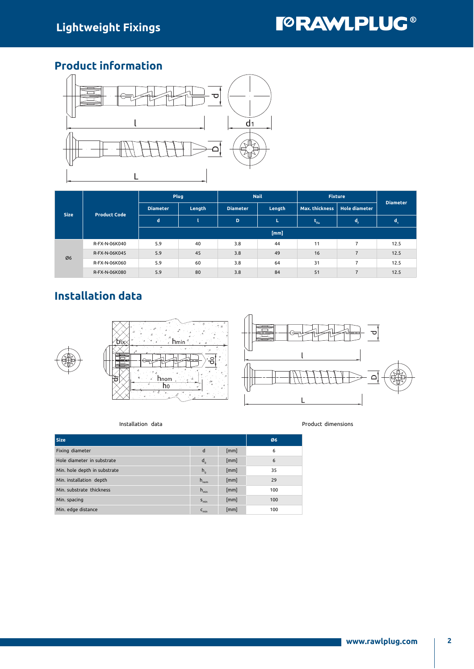# **TORAWLPLUG®**

### Product information



| <b>Size</b> | <b>Product Code</b> | Plug                      |    | <b>Nail</b>     |        | <b>Fixture</b>      |                                        | <b>Diameter</b> |
|-------------|---------------------|---------------------------|----|-----------------|--------|---------------------|----------------------------------------|-----------------|
|             |                     | <b>Diameter</b><br>Length |    | <b>Diameter</b> | Length |                     | <b>Hole diameter</b><br>Max. thickness |                 |
|             |                     | d                         |    | D               | L.     | $\tau_{\text{fix}}$ | d,                                     | ū.              |
|             |                     |                           |    |                 | [mm]   |                     |                                        |                 |
| Ø6          | R-FX-N-06K040       | 5.9                       | 40 | 3.8             | 44     | 11                  | 7                                      | 12.5            |
|             | R-FX-N-06K045       | 5.9                       | 45 | 3.8             | 49     | 16                  | $\overline{7}$                         | 12.5            |
|             | R-FX-N-06K060       | 5.9                       | 60 | 3.8             | 64     | 31                  | 7                                      | 12.5            |
|             | R-FX-N-06K080       | 5.9                       | 80 | 3.8             | 84     | 51                  | $\overline{7}$                         | 12.5            |

# Installation data



#### Installation data **Product dimensions**

| <b>Size</b>                  | Ø6               |      |     |
|------------------------------|------------------|------|-----|
| Fixing diameter              | d                | [mm] | 6   |
| Hole diameter in substrate   | $d_{0}$          | [mm] | 6   |
| Min. hole depth in substrate | $h_{0}$          | [mm] | 35  |
| Min. installation depth      | $h_{\text{nom}}$ | [mm] | 29  |
| Min. substrate thickness     | $h_{\min}$       | [mm] | 100 |
| Min. spacing                 | $S_{min}$        | [mm] | 100 |
| Min. edge distance           | $C_{\text{min}}$ | [mm] | 100 |